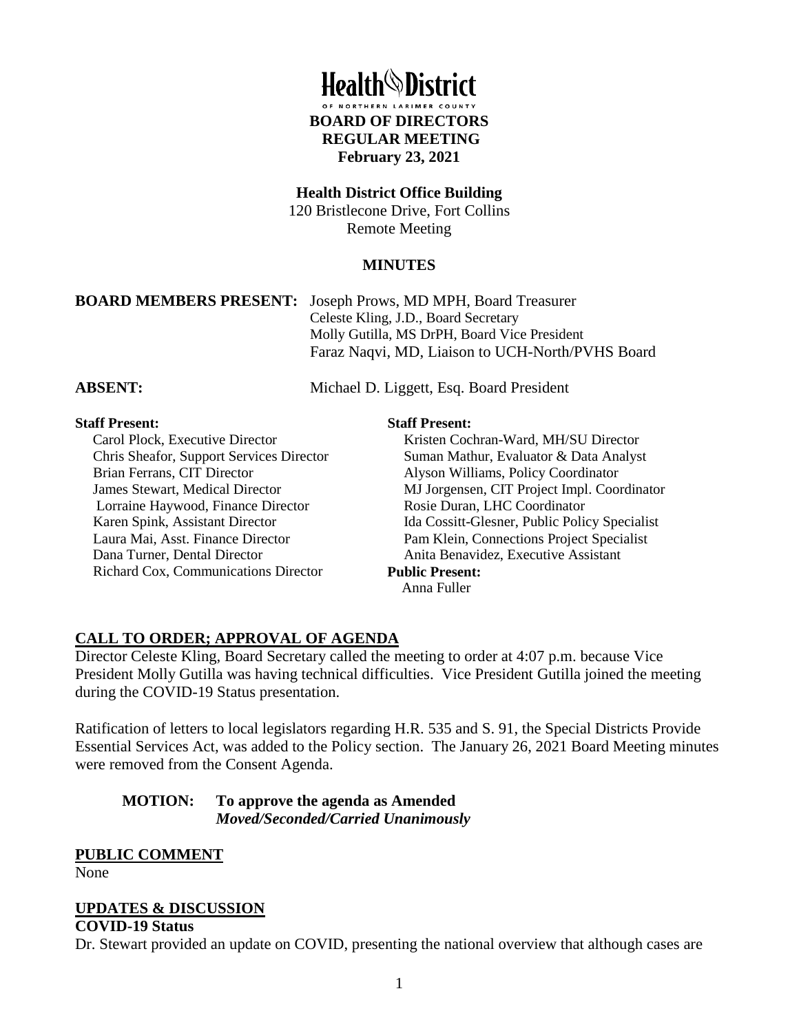

#### **Health District Office Building**

120 Bristlecone Drive, Fort Collins Remote Meeting

#### **MINUTES**

**BOARD MEMBERS PRESENT:** Joseph Prows, MD MPH, Board Treasurer Celeste Kling, J.D., Board Secretary Molly Gutilla, MS DrPH, Board Vice President Faraz Naqvi, MD, Liaison to UCH-North/PVHS Board

**ABSENT:** Michael D. Liggett, Esq. Board President

## **Staff Present:**

 Carol Plock, Executive Director Chris Sheafor, Support Services Director Brian Ferrans, CIT Director James Stewart, Medical Director Lorraine Haywood, Finance Director Karen Spink, Assistant Director Laura Mai, Asst. Finance Director Dana Turner, Dental Director Richard Cox, Communications Director

#### **Staff Present:**

Kristen Cochran-Ward, MH/SU Director Suman Mathur, Evaluator & Data Analyst Alyson Williams, Policy Coordinator MJ Jorgensen, CIT Project Impl. Coordinator Rosie Duran, LHC Coordinator Ida Cossitt-Glesner, Public Policy Specialist Pam Klein, Connections Project Specialist Anita Benavidez, Executive Assistant

#### **Public Present:**

Anna Fuller

# **CALL TO ORDER; APPROVAL OF AGENDA**

Director Celeste Kling, Board Secretary called the meeting to order at 4:07 p.m. because Vice President Molly Gutilla was having technical difficulties. Vice President Gutilla joined the meeting during the COVID-19 Status presentation.

Ratification of letters to local legislators regarding H.R. 535 and S. 91, the Special Districts Provide Essential Services Act, was added to the Policy section. The January 26, 2021 Board Meeting minutes were removed from the Consent Agenda.

## **MOTION: To approve the agenda as Amended**  *Moved/Seconded/Carried Unanimously*

# **PUBLIC COMMENT**

None

# **UPDATES & DISCUSSION**

#### **COVID-19 Status**

Dr. Stewart provided an update on COVID, presenting the national overview that although cases are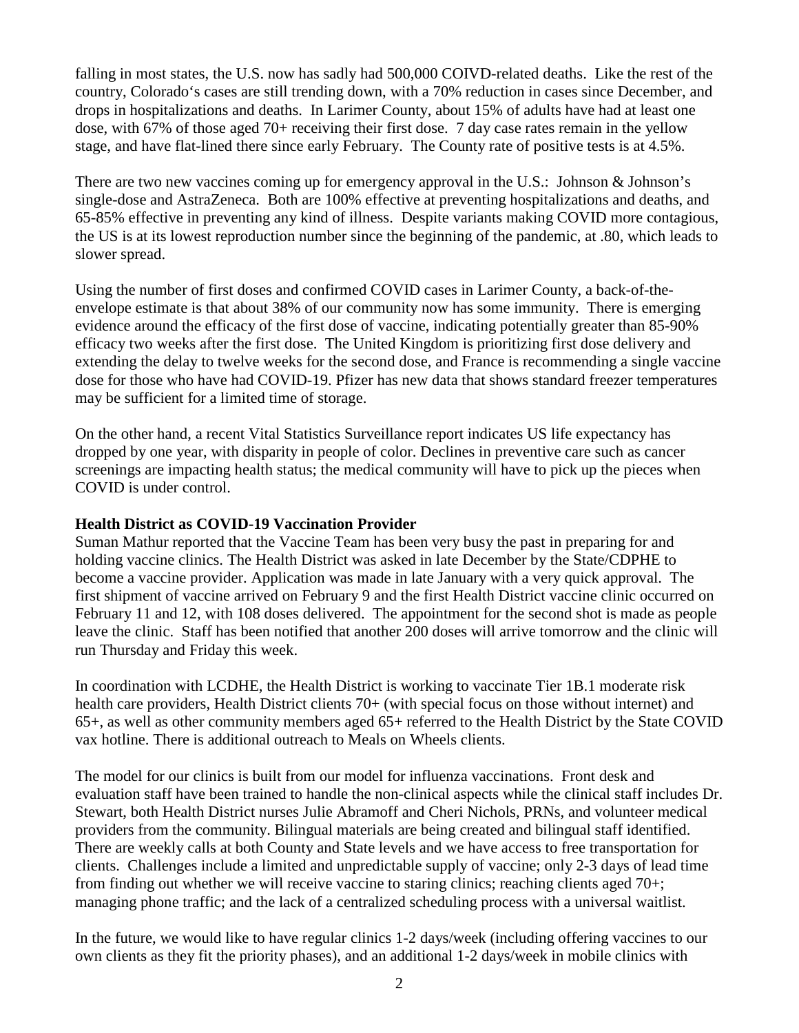falling in most states, the U.S. now has sadly had 500,000 COIVD-related deaths. Like the rest of the country, Colorado's cases are still trending down, with a 70% reduction in cases since December, and drops in hospitalizations and deaths. In Larimer County, about 15% of adults have had at least one dose, with 67% of those aged 70+ receiving their first dose. 7 day case rates remain in the yellow stage, and have flat-lined there since early February. The County rate of positive tests is at 4.5%.

There are two new vaccines coming up for emergency approval in the U.S.: Johnson & Johnson's single-dose and AstraZeneca. Both are 100% effective at preventing hospitalizations and deaths, and 65-85% effective in preventing any kind of illness. Despite variants making COVID more contagious, the US is at its lowest reproduction number since the beginning of the pandemic, at .80, which leads to slower spread.

Using the number of first doses and confirmed COVID cases in Larimer County, a back-of-theenvelope estimate is that about 38% of our community now has some immunity. There is emerging evidence around the efficacy of the first dose of vaccine, indicating potentially greater than 85-90% efficacy two weeks after the first dose. The United Kingdom is prioritizing first dose delivery and extending the delay to twelve weeks for the second dose, and France is recommending a single vaccine dose for those who have had COVID-19. Pfizer has new data that shows standard freezer temperatures may be sufficient for a limited time of storage.

On the other hand, a recent Vital Statistics Surveillance report indicates US life expectancy has dropped by one year, with disparity in people of color. Declines in preventive care such as cancer screenings are impacting health status; the medical community will have to pick up the pieces when COVID is under control.

#### **Health District as COVID-19 Vaccination Provider**

Suman Mathur reported that the Vaccine Team has been very busy the past in preparing for and holding vaccine clinics. The Health District was asked in late December by the State/CDPHE to become a vaccine provider. Application was made in late January with a very quick approval. The first shipment of vaccine arrived on February 9 and the first Health District vaccine clinic occurred on February 11 and 12, with 108 doses delivered. The appointment for the second shot is made as people leave the clinic. Staff has been notified that another 200 doses will arrive tomorrow and the clinic will run Thursday and Friday this week.

In coordination with LCDHE, the Health District is working to vaccinate Tier 1B.1 moderate risk health care providers, Health District clients 70+ (with special focus on those without internet) and 65+, as well as other community members aged 65+ referred to the Health District by the State COVID vax hotline. There is additional outreach to Meals on Wheels clients.

The model for our clinics is built from our model for influenza vaccinations. Front desk and evaluation staff have been trained to handle the non-clinical aspects while the clinical staff includes Dr. Stewart, both Health District nurses Julie Abramoff and Cheri Nichols, PRNs, and volunteer medical providers from the community. Bilingual materials are being created and bilingual staff identified. There are weekly calls at both County and State levels and we have access to free transportation for clients. Challenges include a limited and unpredictable supply of vaccine; only 2-3 days of lead time from finding out whether we will receive vaccine to staring clinics; reaching clients aged 70+; managing phone traffic; and the lack of a centralized scheduling process with a universal waitlist.

In the future, we would like to have regular clinics 1-2 days/week (including offering vaccines to our own clients as they fit the priority phases), and an additional 1-2 days/week in mobile clinics with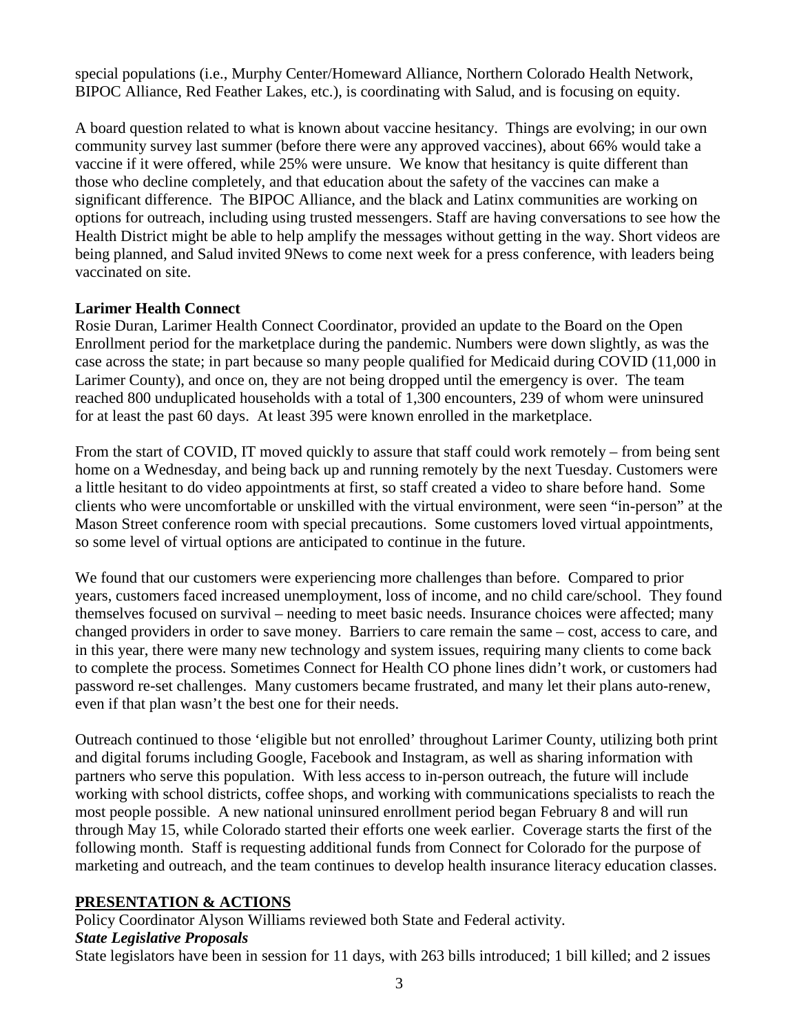special populations (i.e., Murphy Center/Homeward Alliance, Northern Colorado Health Network, BIPOC Alliance, Red Feather Lakes, etc.), is coordinating with Salud, and is focusing on equity.

A board question related to what is known about vaccine hesitancy. Things are evolving; in our own community survey last summer (before there were any approved vaccines), about 66% would take a vaccine if it were offered, while 25% were unsure. We know that hesitancy is quite different than those who decline completely, and that education about the safety of the vaccines can make a significant difference. The BIPOC Alliance, and the black and Latinx communities are working on options for outreach, including using trusted messengers. Staff are having conversations to see how the Health District might be able to help amplify the messages without getting in the way. Short videos are being planned, and Salud invited 9News to come next week for a press conference, with leaders being vaccinated on site.

#### **Larimer Health Connect**

Rosie Duran, Larimer Health Connect Coordinator, provided an update to the Board on the Open Enrollment period for the marketplace during the pandemic. Numbers were down slightly, as was the case across the state; in part because so many people qualified for Medicaid during COVID (11,000 in Larimer County), and once on, they are not being dropped until the emergency is over. The team reached 800 unduplicated households with a total of 1,300 encounters, 239 of whom were uninsured for at least the past 60 days. At least 395 were known enrolled in the marketplace.

From the start of COVID, IT moved quickly to assure that staff could work remotely – from being sent home on a Wednesday, and being back up and running remotely by the next Tuesday. Customers were a little hesitant to do video appointments at first, so staff created a video to share before hand. Some clients who were uncomfortable or unskilled with the virtual environment, were seen "in-person" at the Mason Street conference room with special precautions. Some customers loved virtual appointments, so some level of virtual options are anticipated to continue in the future.

We found that our customers were experiencing more challenges than before. Compared to prior years, customers faced increased unemployment, loss of income, and no child care/school. They found themselves focused on survival – needing to meet basic needs. Insurance choices were affected; many changed providers in order to save money. Barriers to care remain the same – cost, access to care, and in this year, there were many new technology and system issues, requiring many clients to come back to complete the process. Sometimes Connect for Health CO phone lines didn't work, or customers had password re-set challenges. Many customers became frustrated, and many let their plans auto-renew, even if that plan wasn't the best one for their needs.

Outreach continued to those 'eligible but not enrolled' throughout Larimer County, utilizing both print and digital forums including Google, Facebook and Instagram, as well as sharing information with partners who serve this population. With less access to in-person outreach, the future will include working with school districts, coffee shops, and working with communications specialists to reach the most people possible. A new national uninsured enrollment period began February 8 and will run through May 15, while Colorado started their efforts one week earlier. Coverage starts the first of the following month. Staff is requesting additional funds from Connect for Colorado for the purpose of marketing and outreach, and the team continues to develop health insurance literacy education classes.

#### **PRESENTATION & ACTIONS**

Policy Coordinator Alyson Williams reviewed both State and Federal activity. *State Legislative Proposals*

State legislators have been in session for 11 days, with 263 bills introduced; 1 bill killed; and 2 issues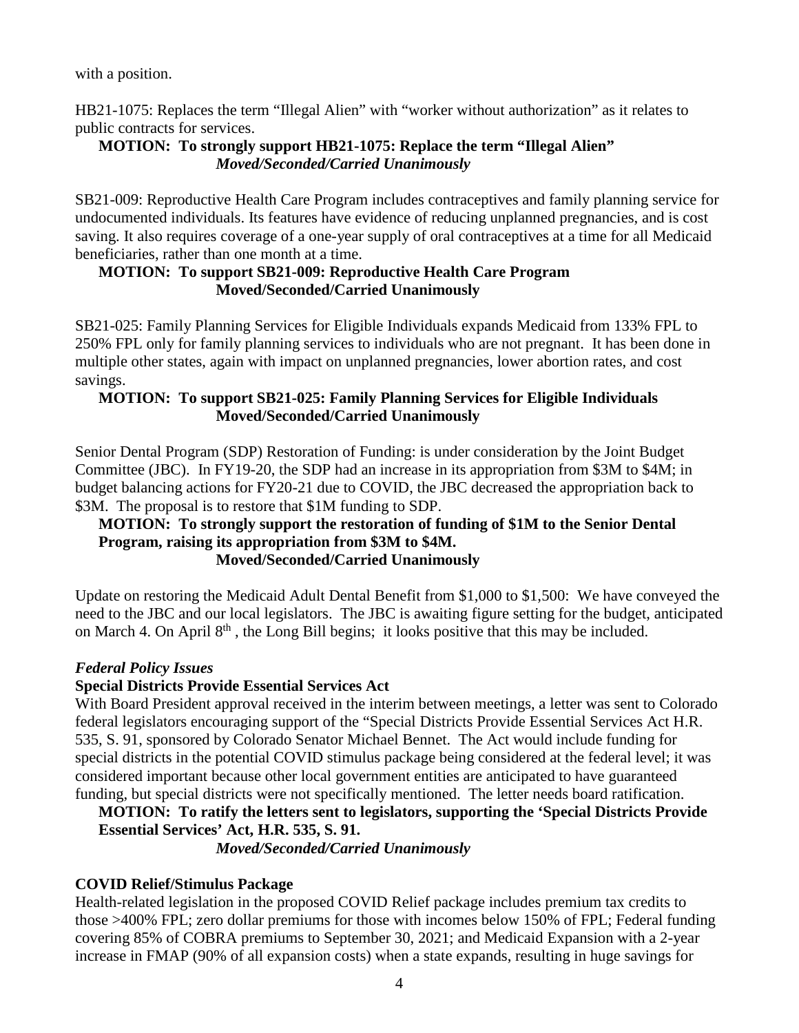with a position.

HB21-1075: Replaces the term "Illegal Alien" with "worker without authorization" as it relates to public contracts for services.

## **MOTION: To strongly support HB21-1075: Replace the term "Illegal Alien"**  *Moved/Seconded/Carried Unanimously*

SB21-009: Reproductive Health Care Program includes contraceptives and family planning service for undocumented individuals. Its features have evidence of reducing unplanned pregnancies, and is cost saving. It also requires coverage of a one-year supply of oral contraceptives at a time for all Medicaid beneficiaries, rather than one month at a time.

#### **MOTION: To support SB21-009: Reproductive Health Care Program Moved/Seconded/Carried Unanimously**

SB21-025: Family Planning Services for Eligible Individuals expands Medicaid from 133% FPL to 250% FPL only for family planning services to individuals who are not pregnant. It has been done in multiple other states, again with impact on unplanned pregnancies, lower abortion rates, and cost savings.

## **MOTION: To support SB21-025: Family Planning Services for Eligible Individuals Moved/Seconded/Carried Unanimously**

Senior Dental Program (SDP) Restoration of Funding: is under consideration by the Joint Budget Committee (JBC). In FY19-20, the SDP had an increase in its appropriation from \$3M to \$4M; in budget balancing actions for FY20-21 due to COVID, the JBC decreased the appropriation back to \$3M. The proposal is to restore that \$1M funding to SDP.

#### **MOTION: To strongly support the restoration of funding of \$1M to the Senior Dental Program, raising its appropriation from \$3M to \$4M. Moved/Seconded/Carried Unanimously**

Update on restoring the Medicaid Adult Dental Benefit from \$1,000 to \$1,500: We have conveyed the need to the JBC and our local legislators. The JBC is awaiting figure setting for the budget, anticipated on March 4. On April 8<sup>th</sup>, the Long Bill begins; it looks positive that this may be included.

## *Federal Policy Issues*

## **Special Districts Provide Essential Services Act**

With Board President approval received in the interim between meetings, a letter was sent to Colorado federal legislators encouraging support of the "Special Districts Provide Essential Services Act H.R. 535, S. 91, sponsored by Colorado Senator Michael Bennet. The Act would include funding for special districts in the potential COVID stimulus package being considered at the federal level; it was considered important because other local government entities are anticipated to have guaranteed funding, but special districts were not specifically mentioned. The letter needs board ratification.

#### **MOTION: To ratify the letters sent to legislators, supporting the 'Special Districts Provide Essential Services' Act, H.R. 535, S. 91.**

*Moved/Seconded/Carried Unanimously* 

## **COVID Relief/Stimulus Package**

Health-related legislation in the proposed COVID Relief package includes premium tax credits to those >400% FPL; zero dollar premiums for those with incomes below 150% of FPL; Federal funding covering 85% of COBRA premiums to September 30, 2021; and Medicaid Expansion with a 2-year increase in FMAP (90% of all expansion costs) when a state expands, resulting in huge savings for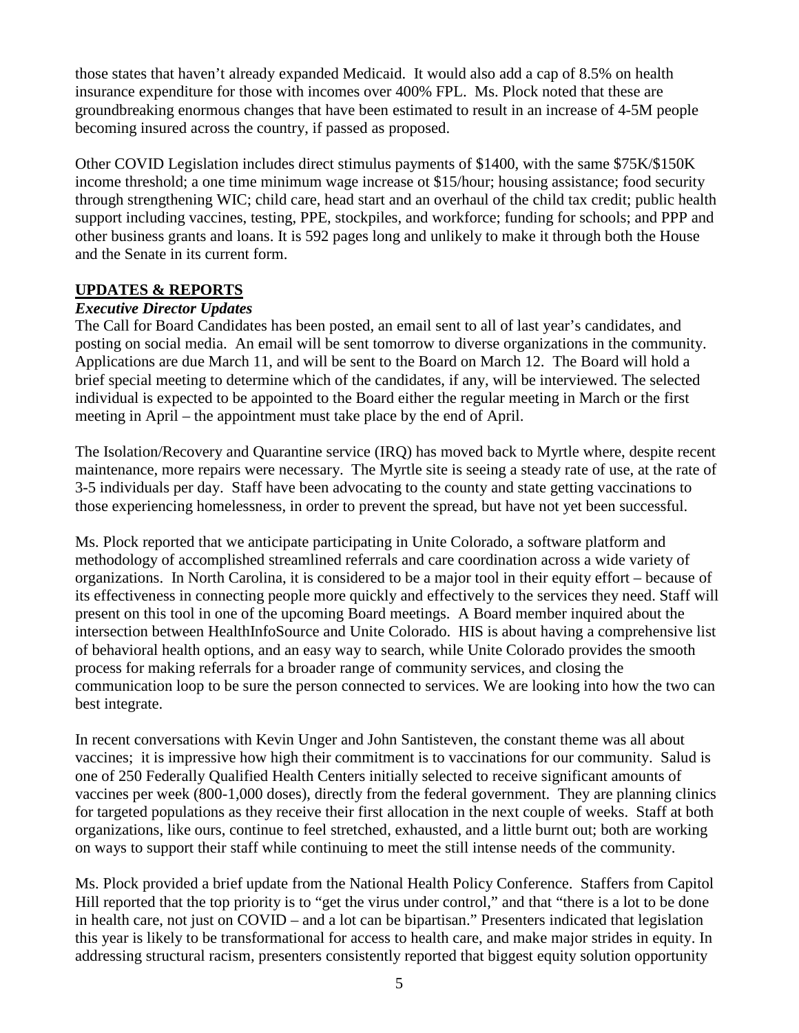those states that haven't already expanded Medicaid. It would also add a cap of 8.5% on health insurance expenditure for those with incomes over 400% FPL. Ms. Plock noted that these are groundbreaking enormous changes that have been estimated to result in an increase of 4-5M people becoming insured across the country, if passed as proposed.

Other COVID Legislation includes direct stimulus payments of \$1400, with the same \$75K/\$150K income threshold; a one time minimum wage increase ot \$15/hour; housing assistance; food security through strengthening WIC; child care, head start and an overhaul of the child tax credit; public health support including vaccines, testing, PPE, stockpiles, and workforce; funding for schools; and PPP and other business grants and loans. It is 592 pages long and unlikely to make it through both the House and the Senate in its current form.

## **UPDATES & REPORTS**

## *Executive Director Updates*

The Call for Board Candidates has been posted, an email sent to all of last year's candidates, and posting on social media. An email will be sent tomorrow to diverse organizations in the community. Applications are due March 11, and will be sent to the Board on March 12. The Board will hold a brief special meeting to determine which of the candidates, if any, will be interviewed. The selected individual is expected to be appointed to the Board either the regular meeting in March or the first meeting in April – the appointment must take place by the end of April.

The Isolation/Recovery and Quarantine service (IRQ) has moved back to Myrtle where, despite recent maintenance, more repairs were necessary. The Myrtle site is seeing a steady rate of use, at the rate of 3-5 individuals per day. Staff have been advocating to the county and state getting vaccinations to those experiencing homelessness, in order to prevent the spread, but have not yet been successful.

Ms. Plock reported that we anticipate participating in Unite Colorado, a software platform and methodology of accomplished streamlined referrals and care coordination across a wide variety of organizations. In North Carolina, it is considered to be a major tool in their equity effort – because of its effectiveness in connecting people more quickly and effectively to the services they need. Staff will present on this tool in one of the upcoming Board meetings. A Board member inquired about the intersection between HealthInfoSource and Unite Colorado. HIS is about having a comprehensive list of behavioral health options, and an easy way to search, while Unite Colorado provides the smooth process for making referrals for a broader range of community services, and closing the communication loop to be sure the person connected to services. We are looking into how the two can best integrate.

In recent conversations with Kevin Unger and John Santisteven, the constant theme was all about vaccines; it is impressive how high their commitment is to vaccinations for our community. Salud is one of 250 Federally Qualified Health Centers initially selected to receive significant amounts of vaccines per week (800-1,000 doses), directly from the federal government. They are planning clinics for targeted populations as they receive their first allocation in the next couple of weeks. Staff at both organizations, like ours, continue to feel stretched, exhausted, and a little burnt out; both are working on ways to support their staff while continuing to meet the still intense needs of the community.

Ms. Plock provided a brief update from the National Health Policy Conference. Staffers from Capitol Hill reported that the top priority is to "get the virus under control," and that "there is a lot to be done in health care, not just on COVID – and a lot can be bipartisan." Presenters indicated that legislation this year is likely to be transformational for access to health care, and make major strides in equity. In addressing structural racism, presenters consistently reported that biggest equity solution opportunity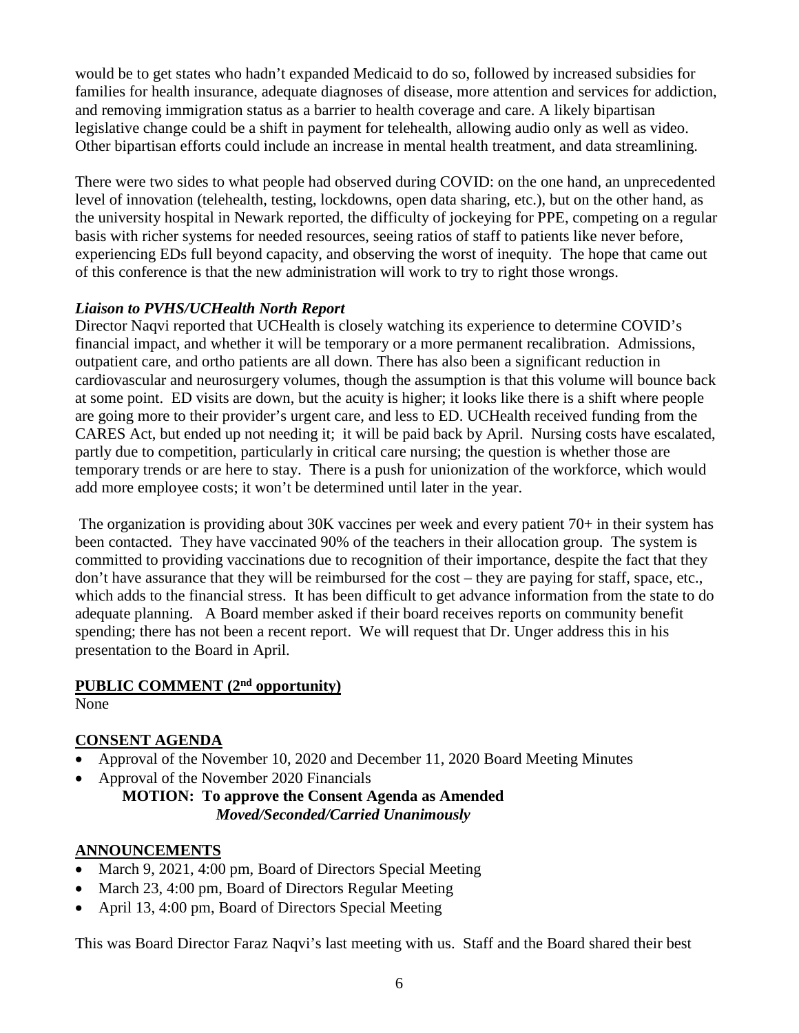would be to get states who hadn't expanded Medicaid to do so, followed by increased subsidies for families for health insurance, adequate diagnoses of disease, more attention and services for addiction, and removing immigration status as a barrier to health coverage and care. A likely bipartisan legislative change could be a shift in payment for telehealth, allowing audio only as well as video. Other bipartisan efforts could include an increase in mental health treatment, and data streamlining.

There were two sides to what people had observed during COVID: on the one hand, an unprecedented level of innovation (telehealth, testing, lockdowns, open data sharing, etc.), but on the other hand, as the university hospital in Newark reported, the difficulty of jockeying for PPE, competing on a regular basis with richer systems for needed resources, seeing ratios of staff to patients like never before, experiencing EDs full beyond capacity, and observing the worst of inequity. The hope that came out of this conference is that the new administration will work to try to right those wrongs.

## *Liaison to PVHS/UCHealth North Report*

Director Naqvi reported that UCHealth is closely watching its experience to determine COVID's financial impact, and whether it will be temporary or a more permanent recalibration. Admissions, outpatient care, and ortho patients are all down. There has also been a significant reduction in cardiovascular and neurosurgery volumes, though the assumption is that this volume will bounce back at some point. ED visits are down, but the acuity is higher; it looks like there is a shift where people are going more to their provider's urgent care, and less to ED. UCHealth received funding from the CARES Act, but ended up not needing it; it will be paid back by April. Nursing costs have escalated, partly due to competition, particularly in critical care nursing; the question is whether those are temporary trends or are here to stay. There is a push for unionization of the workforce, which would add more employee costs; it won't be determined until later in the year.

 The organization is providing about 30K vaccines per week and every patient 70+ in their system has been contacted. They have vaccinated 90% of the teachers in their allocation group. The system is committed to providing vaccinations due to recognition of their importance, despite the fact that they don't have assurance that they will be reimbursed for the cost – they are paying for staff, space, etc., which adds to the financial stress. It has been difficult to get advance information from the state to do adequate planning. A Board member asked if their board receives reports on community benefit spending; there has not been a recent report. We will request that Dr. Unger address this in his presentation to the Board in April.

## **PUBLIC COMMENT (2nd opportunity)**

None

# **CONSENT AGENDA**

- Approval of the November 10, 2020 and December 11, 2020 Board Meeting Minutes
- Approval of the November 2020 Financials

**MOTION: To approve the Consent Agenda as Amended** *Moved/Seconded/Carried Unanimously* 

# **ANNOUNCEMENTS**

- March 9, 2021, 4:00 pm, Board of Directors Special Meeting
- March 23, 4:00 pm, Board of Directors Regular Meeting
- April 13, 4:00 pm, Board of Directors Special Meeting

This was Board Director Faraz Naqvi's last meeting with us. Staff and the Board shared their best